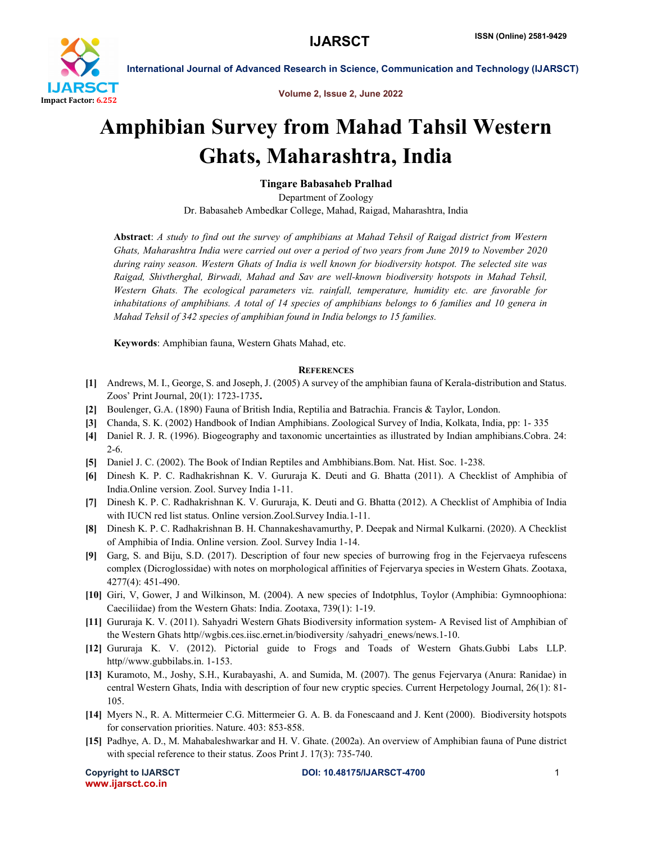

International Journal of Advanced Research in Science, Communication and Technology (IJARSCT)

Volume 2, Issue 2, June 2022

# Amphibian Survey from Mahad Tahsil Western Ghats, Maharashtra, India

## Tingare Babasaheb Pralhad

Department of Zoology Dr. Babasaheb Ambedkar College, Mahad, Raigad, Maharashtra, India

Abstract: *A study to find out the survey of amphibians at Mahad Tehsil of Raigad district from Western Ghats, Maharashtra India were carried out over a period of two years from June 2019 to November 2020 during rainy season. Western Ghats of India is well known for biodiversity hotspot. The selected site was Raigad, Shivtherghal, Birwadi, Mahad and Sav are well-known biodiversity hotspots in Mahad Tehsil, Western Ghats. The ecological parameters viz. rainfall, temperature, humidity etc. are favorable for inhabitations of amphibians. A total of 14 species of amphibians belongs to 6 families and 10 genera in Mahad Tehsil of 342 species of amphibian found in India belongs to 15 families.*

Keywords: Amphibian fauna, Western Ghats Mahad, etc.

### **REFERENCES**

- [1] Andrews, M. I., George, S. and Joseph, J. (2005) A survey of the amphibian fauna of Kerala-distribution and Status. Zoos' Print Journal, 20(1): 1723-1735.
- [2] Boulenger, G.A. (1890) Fauna of British India, Reptilia and Batrachia. Francis & Taylor, London.
- [3] Chanda, S. K. (2002) Handbook of Indian Amphibians. Zoological Survey of India, Kolkata, India, pp: 1- 335
- [4] Daniel R. J. R. (1996). Biogeography and taxonomic uncertainties as illustrated by Indian amphibians.Cobra. 24: 2-6.
- [5] Daniel J. C. (2002). The Book of Indian Reptiles and Ambhibians.Bom. Nat. Hist. Soc. 1-238.
- [6] Dinesh K. P. C. Radhakrishnan K. V. Gururaja K. Deuti and G. Bhatta (2011). A Checklist of Amphibia of India.Online version. Zool. Survey India 1-11.
- [7] Dinesh K. P. C. Radhakrishnan K. V. Gururaja, K. Deuti and G. Bhatta (2012). A Checklist of Amphibia of India with IUCN red list status. Online version.Zool.Survey India.1-11.
- [8] Dinesh K. P. C. Radhakrishnan B. H. Channakeshavamurthy, P. Deepak and Nirmal Kulkarni. (2020). A Checklist of Amphibia of India. Online version. Zool. Survey India 1-14.
- [9] Garg, S. and Biju, S.D. (2017). Description of four new species of burrowing frog in the Fejervaeya rufescens complex (Dicroglossidae) with notes on morphological affinities of Fejervarya species in Western Ghats. Zootaxa, 4277(4): 451-490.
- [10] Giri, V, Gower, J and Wilkinson, M. (2004). A new species of Indotphlus, Toylor (Amphibia: Gymnoophiona: Caeciliidae) from the Western Ghats: India. Zootaxa, 739(1): 1-19.
- [11] Gururaja K. V. (2011). Sahyadri Western Ghats Biodiversity information system- A Revised list of Amphibian of the Western Ghats http//wgbis.ces.iisc.ernet.in/biodiversity /sahyadri\_enews/news.1-10.
- [12] Gururaja K. V. (2012). Pictorial guide to Frogs and Toads of Western Ghats.Gubbi Labs LLP. http//www.gubbilabs.in. 1-153.
- [13] Kuramoto, M., Joshy, S.H., Kurabayashi, A. and Sumida, M. (2007). The genus Fejervarya (Anura: Ranidae) in central Western Ghats, India with description of four new cryptic species. Current Herpetology Journal, 26(1): 81- 105.
- [14] Myers N., R. A. Mittermeier C.G. Mittermeier G. A. B. da Fonescaand and J. Kent (2000). Biodiversity hotspots for conservation priorities. Nature. 403: 853-858.
- [15] Padhye, A. D., M. Mahabaleshwarkar and H. V. Ghate. (2002a). An overview of Amphibian fauna of Pune district with special reference to their status. Zoos Print J. 17(3): 735-740.